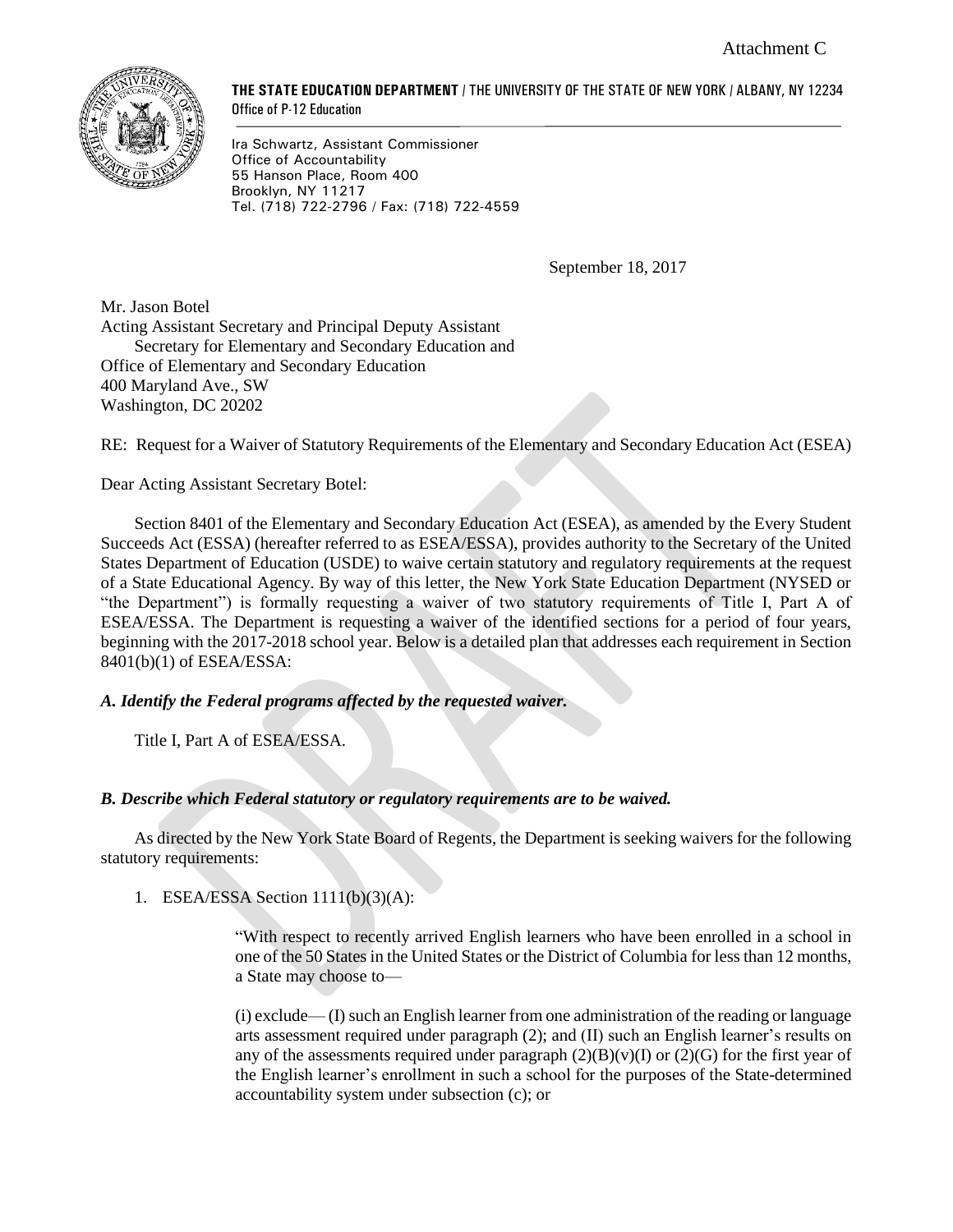

**THE STATE EDUCATION DEPARTMENT** / THE UNIVERSITY OF THE STATE OF NEW YORK / ALBANY, NY 12234 Office of P-12 Education

Ira Schwartz, Assistant Commissioner Office of Accountability 55 Hanson Place, Room 400 Brooklyn, NY 11217 Tel. (718) 722-2796 / Fax: (718) 722-4559

September 18, 2017

Mr. Jason Botel Acting Assistant Secretary and Principal Deputy Assistant Secretary for Elementary and Secondary Education and Office of Elementary and Secondary Education 400 Maryland Ave., SW Washington, DC 20202

RE: Request for a Waiver of Statutory Requirements of the Elementary and Secondary Education Act (ESEA)

Dear Acting Assistant Secretary Botel:

Section 8401 of the Elementary and Secondary Education Act (ESEA), as amended by the Every Student Succeeds Act (ESSA) (hereafter referred to as ESEA/ESSA), provides authority to the Secretary of the United States Department of Education (USDE) to waive certain statutory and regulatory requirements at the request of a State Educational Agency. By way of this letter, the New York State Education Department (NYSED or "the Department") is formally requesting a waiver of two statutory requirements of Title I, Part A of ESEA/ESSA. The Department is requesting a waiver of the identified sections for a period of four years, beginning with the 2017-2018 school year. Below is a detailed plan that addresses each requirement in Section 8401(b)(1) of ESEA/ESSA:

# *A. Identify the Federal programs affected by the requested waiver.*

Title I, Part A of ESEA/ESSA.

### *B. Describe which Federal statutory or regulatory requirements are to be waived.*

As directed by the New York State Board of Regents, the Department is seeking waivers for the following statutory requirements:

1. ESEA/ESSA Section 1111(b)(3)(A):

"With respect to recently arrived English learners who have been enrolled in a school in one of the 50 States in the United States or the District of Columbia for less than 12 months, a State may choose to—

(i) exclude— (I) such an English learner from one administration of the reading or language arts assessment required under paragraph (2); and (II) such an English learner's results on any of the assessments required under paragraph  $(2)(B)(v)(I)$  or  $(2)(G)$  for the first year of the English learner's enrollment in such a school for the purposes of the State-determined accountability system under subsection (c); or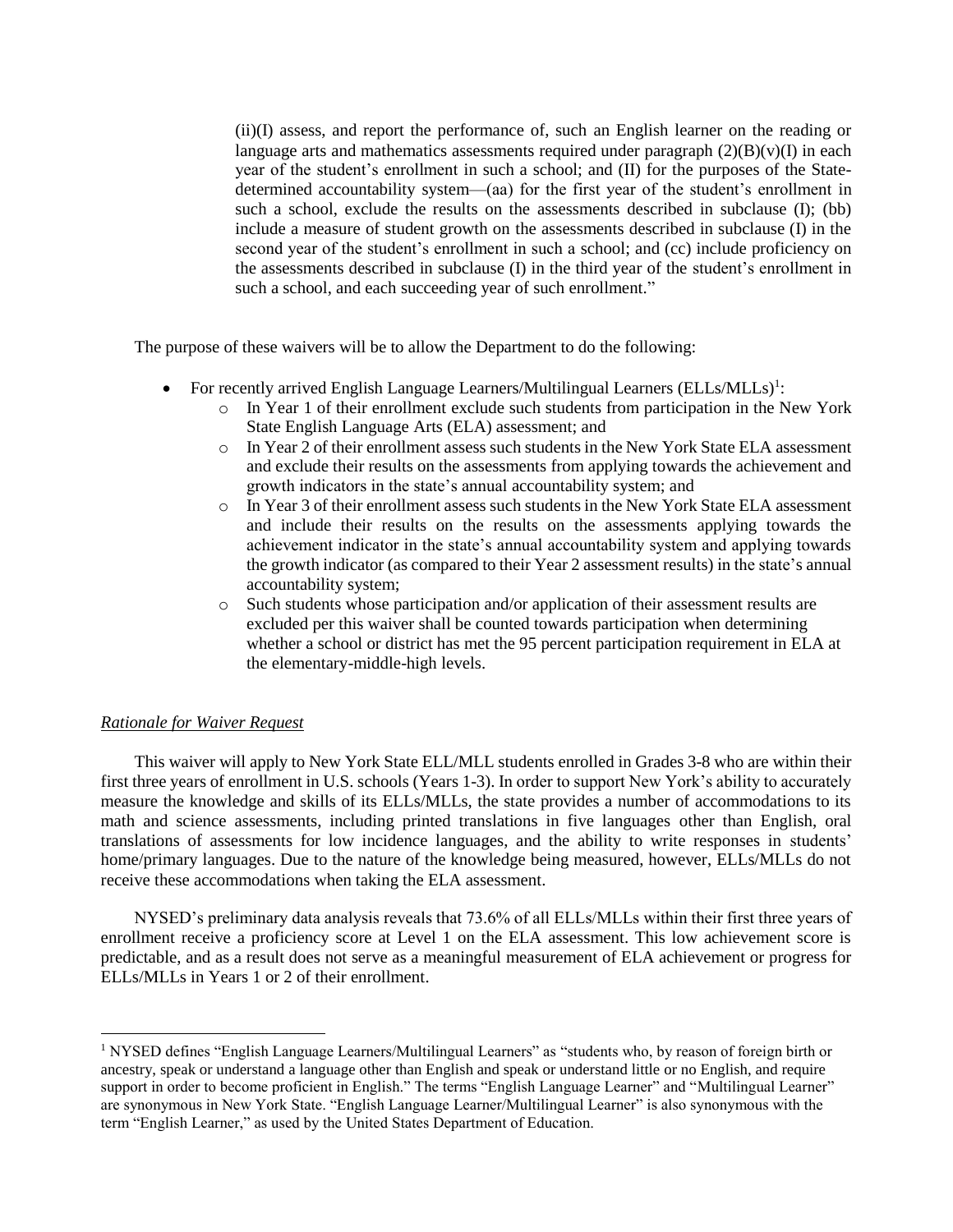(ii)(I) assess, and report the performance of, such an English learner on the reading or language arts and mathematics assessments required under paragraph  $(2)(B)(v)(I)$  in each year of the student's enrollment in such a school; and (II) for the purposes of the Statedetermined accountability system—(aa) for the first year of the student's enrollment in such a school, exclude the results on the assessments described in subclause (I); (bb) include a measure of student growth on the assessments described in subclause (I) in the second year of the student's enrollment in such a school; and (cc) include proficiency on the assessments described in subclause (I) in the third year of the student's enrollment in such a school, and each succeeding year of such enrollment."

The purpose of these waivers will be to allow the Department to do the following:

- For recently arrived English Language Learners/Multilingual Learners  $(ELLs/MLLs)^{1}$ :
	- o In Year 1 of their enrollment exclude such students from participation in the New York State English Language Arts (ELA) assessment; and
	- $\circ$  In Year 2 of their enrollment assess such students in the New York State ELA assessment and exclude their results on the assessments from applying towards the achievement and growth indicators in the state's annual accountability system; and
	- o In Year 3 of their enrollment assess such students in the New York State ELA assessment and include their results on the results on the assessments applying towards the achievement indicator in the state's annual accountability system and applying towards the growth indicator (as compared to their Year 2 assessment results) in the state's annual accountability system;
	- o Such students whose participation and/or application of their assessment results are excluded per this waiver shall be counted towards participation when determining whether a school or district has met the 95 percent participation requirement in ELA at the elementary-middle-high levels.

### *Rationale for Waiver Request*

 $\overline{a}$ 

This waiver will apply to New York State ELL/MLL students enrolled in Grades 3-8 who are within their first three years of enrollment in U.S. schools (Years 1-3). In order to support New York's ability to accurately measure the knowledge and skills of its ELLs/MLLs, the state provides a number of accommodations to its math and science assessments, including printed translations in five languages other than English, oral translations of assessments for low incidence languages, and the ability to write responses in students' home/primary languages. Due to the nature of the knowledge being measured, however, ELLs/MLLs do not receive these accommodations when taking the ELA assessment.

NYSED's preliminary data analysis reveals that 73.6% of all ELLs/MLLs within their first three years of enrollment receive a proficiency score at Level 1 on the ELA assessment. This low achievement score is predictable, and as a result does not serve as a meaningful measurement of ELA achievement or progress for ELLs/MLLs in Years 1 or 2 of their enrollment.

<sup>&</sup>lt;sup>1</sup> NYSED defines "English Language Learners/Multilingual Learners" as "students who, by reason of foreign birth or ancestry, speak or understand a language other than English and speak or understand little or no English, and require support in order to become proficient in English." The terms "English Language Learner" and "Multilingual Learner" are synonymous in New York State. "English Language Learner/Multilingual Learner" is also synonymous with the term "English Learner," as used by the United States Department of Education.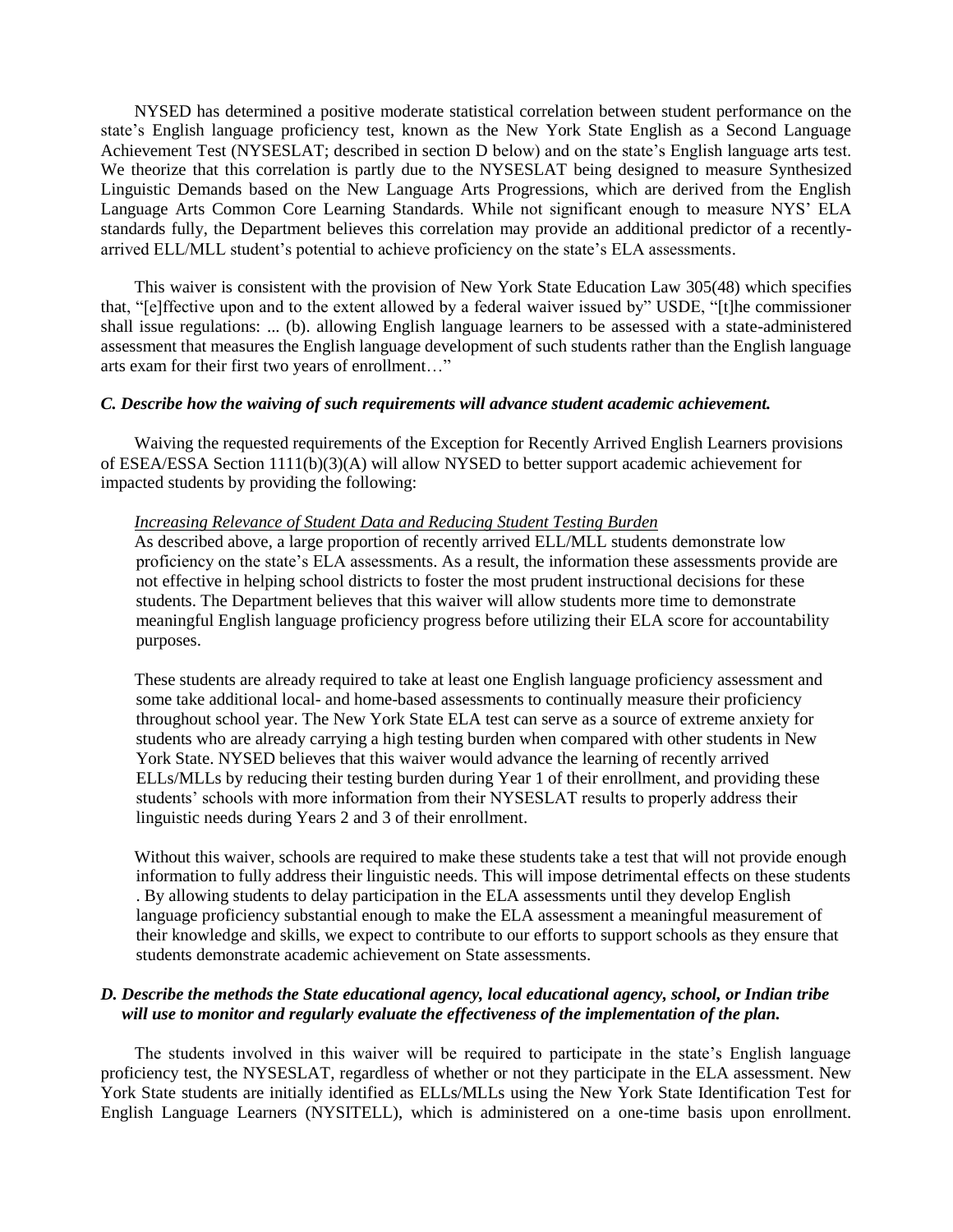NYSED has determined a positive moderate statistical correlation between student performance on the state's English language proficiency test, known as the New York State English as a Second Language Achievement Test (NYSESLAT; described in section D below) and on the state's English language arts test. We theorize that this correlation is partly due to the NYSESLAT being designed to measure Synthesized Linguistic Demands based on the New Language Arts Progressions, which are derived from the English Language Arts Common Core Learning Standards. While not significant enough to measure NYS' ELA standards fully, the Department believes this correlation may provide an additional predictor of a recentlyarrived ELL/MLL student's potential to achieve proficiency on the state's ELA assessments.

This waiver is consistent with the provision of New York State Education Law 305(48) which specifies that, "[e]ffective upon and to the extent allowed by a federal waiver issued by" USDE, "[t]he commissioner shall issue regulations: ... (b). allowing English language learners to be assessed with a state-administered assessment that measures the English language development of such students rather than the English language arts exam for their first two years of enrollment…"

### *C. Describe how the waiving of such requirements will advance student academic achievement.*

Waiving the requested requirements of the Exception for Recently Arrived English Learners provisions of ESEA/ESSA Section 1111(b)(3)(A) will allow NYSED to better support academic achievement for impacted students by providing the following:

#### *Increasing Relevance of Student Data and Reducing Student Testing Burden*

As described above, a large proportion of recently arrived ELL/MLL students demonstrate low proficiency on the state's ELA assessments. As a result, the information these assessments provide are not effective in helping school districts to foster the most prudent instructional decisions for these students. The Department believes that this waiver will allow students more time to demonstrate meaningful English language proficiency progress before utilizing their ELA score for accountability purposes.

These students are already required to take at least one English language proficiency assessment and some take additional local- and home-based assessments to continually measure their proficiency throughout school year. The New York State ELA test can serve as a source of extreme anxiety for students who are already carrying a high testing burden when compared with other students in New York State. NYSED believes that this waiver would advance the learning of recently arrived ELLs/MLLs by reducing their testing burden during Year 1 of their enrollment, and providing these students' schools with more information from their NYSESLAT results to properly address their linguistic needs during Years 2 and 3 of their enrollment.

Without this waiver, schools are required to make these students take a test that will not provide enough information to fully address their linguistic needs. This will impose detrimental effects on these students . By allowing students to delay participation in the ELA assessments until they develop English language proficiency substantial enough to make the ELA assessment a meaningful measurement of their knowledge and skills, we expect to contribute to our efforts to support schools as they ensure that students demonstrate academic achievement on State assessments.

## *D. Describe the methods the State educational agency, local educational agency, school, or Indian tribe will use to monitor and regularly evaluate the effectiveness of the implementation of the plan.*

The students involved in this waiver will be required to participate in the state's English language proficiency test, the NYSESLAT, regardless of whether or not they participate in the ELA assessment. New York State students are initially identified as ELLs/MLLs using the New York State Identification Test for English Language Learners (NYSITELL), which is administered on a one-time basis upon enrollment.